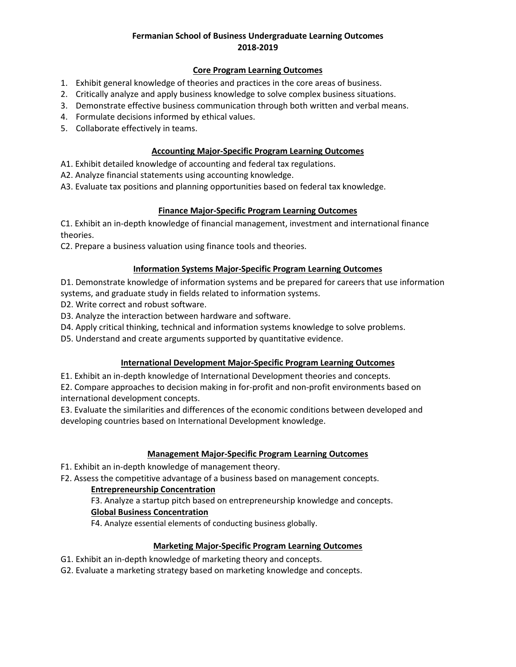# **Fermanian School of Business Undergraduate Learning Outcomes 2018-2019**

#### **Core Program Learning Outcomes**

- 1. Exhibit general knowledge of theories and practices in the core areas of business.
- 2. Critically analyze and apply business knowledge to solve complex business situations.
- 3. Demonstrate effective business communication through both written and verbal means.
- 4. Formulate decisions informed by ethical values.
- 5. Collaborate effectively in teams.

#### **Accounting Major-Specific Program Learning Outcomes**

- A1. Exhibit detailed knowledge of accounting and federal tax regulations.
- A2. Analyze financial statements using accounting knowledge.
- A3. Evaluate tax positions and planning opportunities based on federal tax knowledge.

## **Finance Major-Specific Program Learning Outcomes**

C1. Exhibit an in-depth knowledge of financial management, investment and international finance theories.

C2. Prepare a business valuation using finance tools and theories.

## **Information Systems Major-Specific Program Learning Outcomes**

D1. Demonstrate knowledge of information systems and be prepared for careers that use information systems, and graduate study in fields related to information systems.

- D2. Write correct and robust software.
- D3. Analyze the interaction between hardware and software.
- D4. Apply critical thinking, technical and information systems knowledge to solve problems.
- D5. Understand and create arguments supported by quantitative evidence.

# **International Development Major-Specific Program Learning Outcomes**

E1. Exhibit an in-depth knowledge of International Development theories and concepts.

E2. Compare approaches to decision making in for-profit and non-profit environments based on international development concepts.

E3. Evaluate the similarities and differences of the economic conditions between developed and developing countries based on International Development knowledge.

## **Management Major-Specific Program Learning Outcomes**

F1. Exhibit an in-depth knowledge of management theory.

F2. Assess the competitive advantage of a business based on management concepts.

# **Entrepreneurship Concentration**

F3. Analyze a startup pitch based on entrepreneurship knowledge and concepts.

#### **Global Business Concentration**

F4. Analyze essential elements of conducting business globally.

#### **Marketing Major-Specific Program Learning Outcomes**

- G1. Exhibit an in-depth knowledge of marketing theory and concepts.
- G2. Evaluate a marketing strategy based on marketing knowledge and concepts.